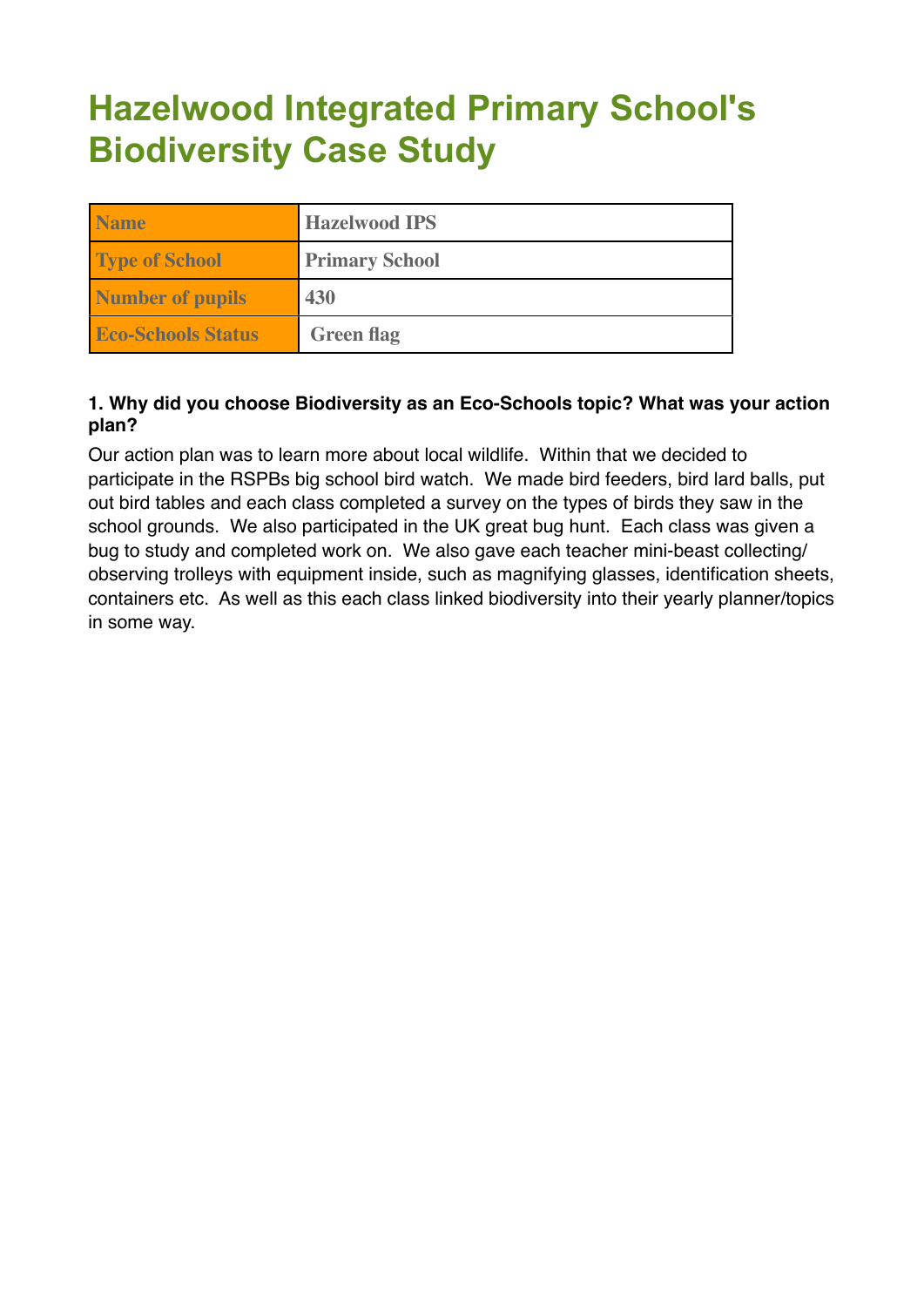# **Hazelwood Integrated Primary School's Biodiversity Case Study**

| <b>Name</b>               | <b>Hazelwood IPS</b>  |  |  |  |  |
|---------------------------|-----------------------|--|--|--|--|
| <b>Type of School</b>     | <b>Primary School</b> |  |  |  |  |
| <b>Number of pupils</b>   | 430                   |  |  |  |  |
| <b>Eco-Schools Status</b> | <b>Green flag</b>     |  |  |  |  |

## **1. Why did you choose Biodiversity as an Eco-Schools topic? What was your action plan?**

Our action plan was to learn more about local wildlife. Within that we decided to participate in the RSPBs big school bird watch. We made bird feeders, bird lard balls, put out bird tables and each class completed a survey on the types of birds they saw in the school grounds. We also participated in the UK great bug hunt. Each class was given a bug to study and completed work on. We also gave each teacher mini-beast collecting/ observing trolleys with equipment inside, such as magnifying glasses, identification sheets, containers etc. As well as this each class linked biodiversity into their yearly planner/topics in some way.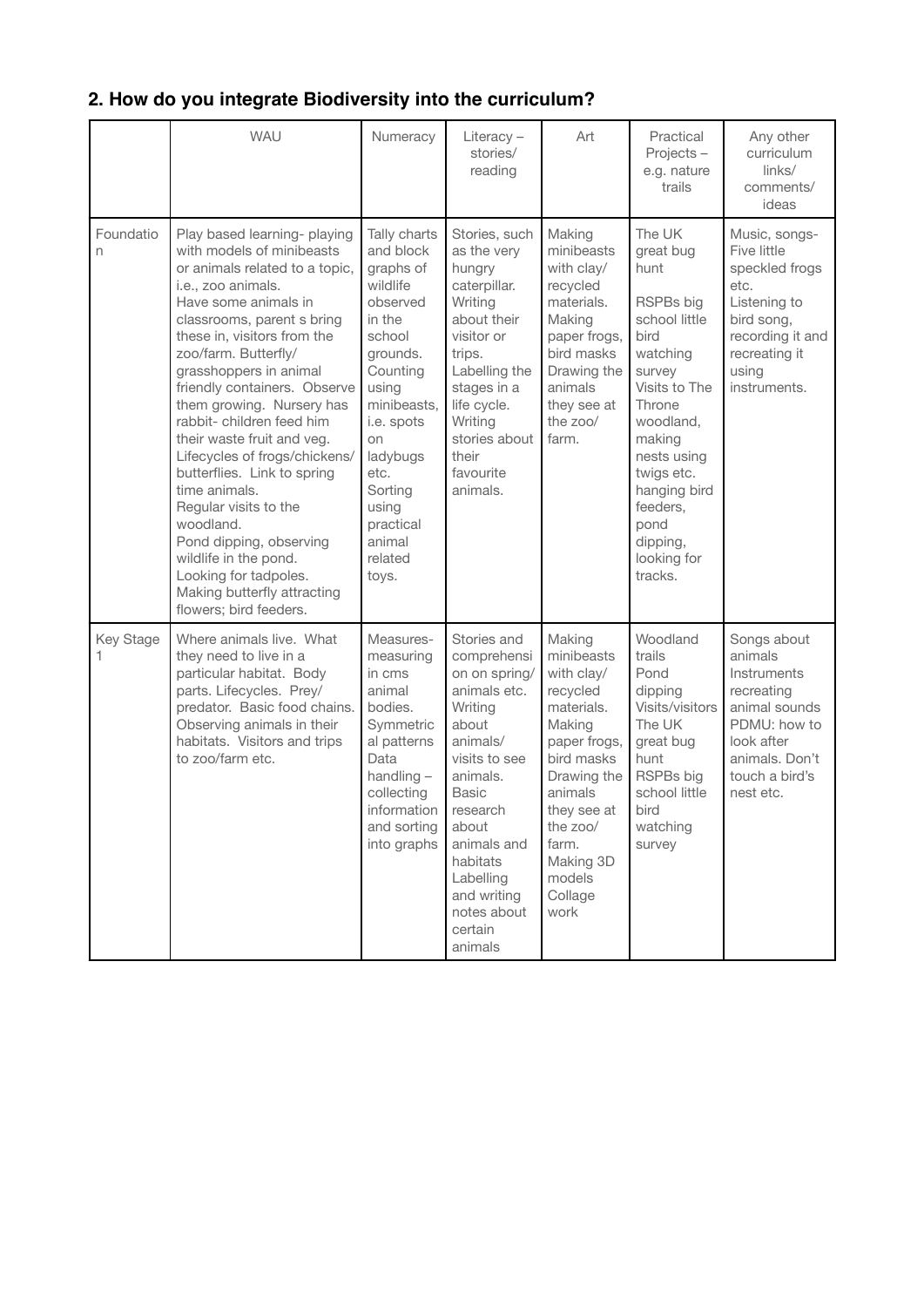|                       | <b>WAU</b>                                                                                                                                                                                                                                                                                                                                                                                                                                                                                                                                                                                                                                    | Numeracy                                                                                                                                                                                                                                  | Literacy $-$<br>stories/<br>reading                                                                                                                                                                                                                | Art                                                                                                                                                                                                          | Practical<br>Projects-<br>e.g. nature<br>trails                                                                                                                                                                                                  | Any other<br>curriculum<br>links/<br>comments/<br>ideas                                                                                             |
|-----------------------|-----------------------------------------------------------------------------------------------------------------------------------------------------------------------------------------------------------------------------------------------------------------------------------------------------------------------------------------------------------------------------------------------------------------------------------------------------------------------------------------------------------------------------------------------------------------------------------------------------------------------------------------------|-------------------------------------------------------------------------------------------------------------------------------------------------------------------------------------------------------------------------------------------|----------------------------------------------------------------------------------------------------------------------------------------------------------------------------------------------------------------------------------------------------|--------------------------------------------------------------------------------------------------------------------------------------------------------------------------------------------------------------|--------------------------------------------------------------------------------------------------------------------------------------------------------------------------------------------------------------------------------------------------|-----------------------------------------------------------------------------------------------------------------------------------------------------|
| Foundatio<br>n        | Play based learning- playing<br>with models of minibeasts<br>or animals related to a topic.<br>i.e., zoo animals.<br>Have some animals in<br>classrooms, parent s bring<br>these in, visitors from the<br>zoo/farm. Butterfly/<br>grasshoppers in animal<br>friendly containers. Observe<br>them growing. Nursery has<br>rabbit- children feed him<br>their waste fruit and veg.<br>Lifecycles of frogs/chickens/<br>butterflies. Link to spring<br>time animals.<br>Regular visits to the<br>woodland.<br>Pond dipping, observing<br>wildlife in the pond.<br>Looking for tadpoles.<br>Making butterfly attracting<br>flowers; bird feeders. | Tally charts<br>and block<br>graphs of<br>wildlife<br>observed<br>in the<br>school<br>grounds.<br>Counting<br>using<br>minibeasts,<br>i.e. spots<br>on<br>ladybugs<br>etc.<br>Sorting<br>using<br>practical<br>animal<br>related<br>toys. | Stories, such<br>as the very<br>hungry<br>caterpillar.<br>Writing<br>about their<br>visitor or<br>trips.<br>Labelling the<br>stages in a<br>life cycle.<br>Writing<br>stories about<br>their<br>favourite<br>animals.                              | Making<br>minibeasts<br>with clay/<br>recycled<br>materials.<br>Making<br>paper frogs,<br>bird masks<br>Drawing the<br>animals<br>they see at<br>the zoo/<br>farm.                                           | The UK<br>great bug<br>hunt<br>RSPBs big<br>school little<br>bird<br>watching<br>survey<br>Visits to The<br>Throne<br>woodland.<br>making<br>nests using<br>twigs etc.<br>hanging bird<br>feeders,<br>pond<br>dipping,<br>looking for<br>tracks. | Music, songs-<br>Five little<br>speckled frogs<br>etc.<br>Listening to<br>bird song,<br>recording it and<br>recreating it<br>using<br>instruments.  |
| <b>Key Stage</b><br>1 | Where animals live. What<br>they need to live in a<br>particular habitat. Body<br>parts. Lifecycles. Prey/<br>predator. Basic food chains.<br>Observing animals in their<br>habitats. Visitors and trips<br>to zoo/farm etc.                                                                                                                                                                                                                                                                                                                                                                                                                  | Measures-<br>measuring<br>in cms<br>animal<br>bodies.<br>Symmetric<br>al patterns<br>Data<br>handling $-$<br>collecting<br>information<br>and sorting<br>into graphs                                                                      | Stories and<br>comprehensi<br>on on spring/<br>animals etc.<br>Writing<br>about<br>animals/<br>visits to see<br>animals.<br>Basic<br>research<br>about<br>animals and<br>habitats<br>Labelling<br>and writing<br>notes about<br>certain<br>animals | Making<br>minibeasts<br>with clay/<br>recycled<br>materials.<br>Making<br>paper frogs,<br>bird masks<br>Drawing the<br>animals<br>they see at<br>the zoo/<br>farm.<br>Making 3D<br>models<br>Collage<br>work | Woodland<br>trails<br>Pond<br>dipping<br>Visits/visitors<br>The UK<br>great bug<br>hunt<br>RSPBs big<br>school little<br>bird<br>watching<br>survey                                                                                              | Songs about<br>animals<br>Instruments<br>recreating<br>animal sounds<br>PDMU: how to<br>look after<br>animals. Don't<br>touch a bird's<br>nest etc. |

# **2. How do you integrate Biodiversity into the curriculum?**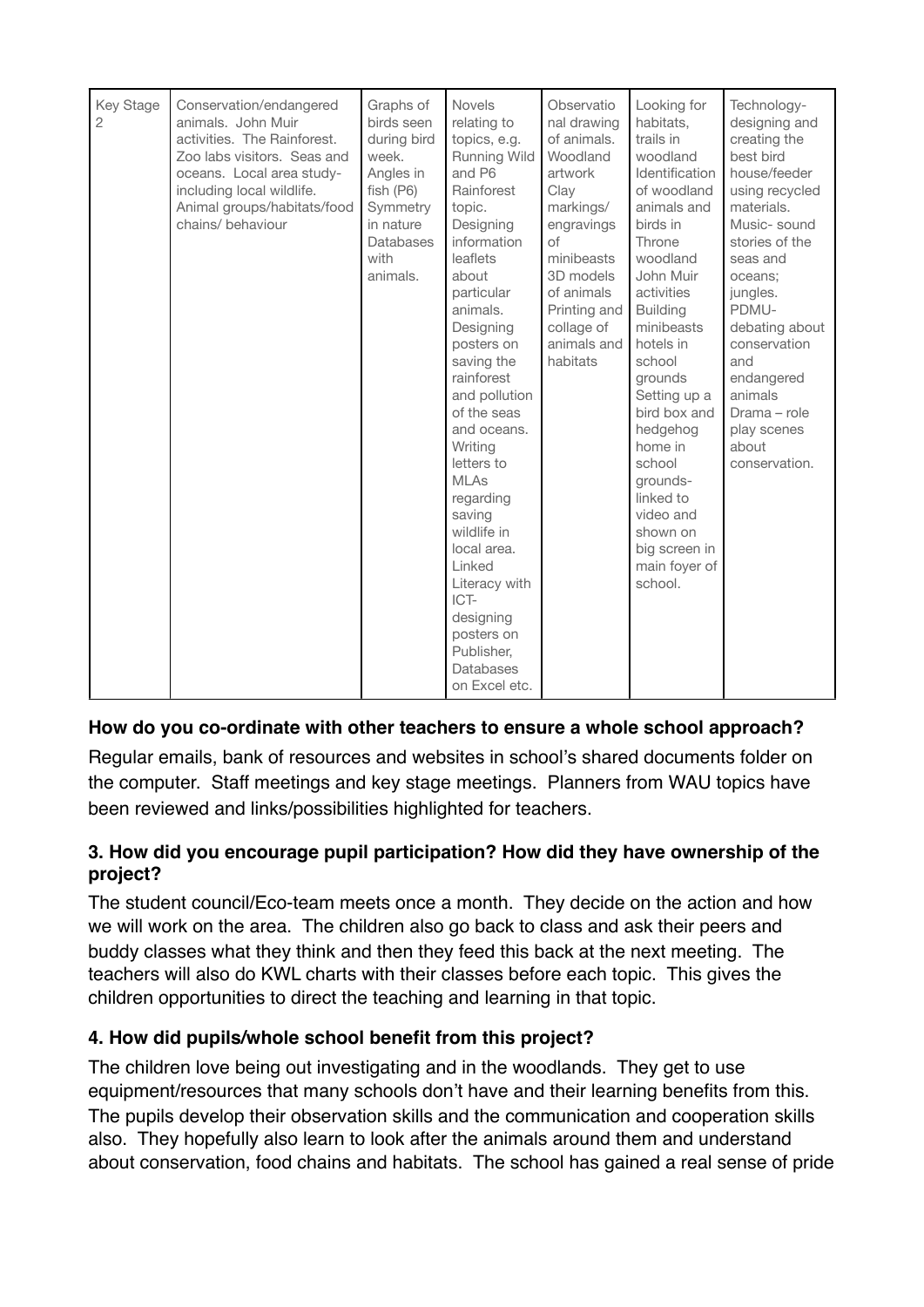| Key Stage<br>$\overline{c}$ | Conservation/endangered<br>animals. John Muir<br>activities. The Rainforest.<br>Zoo labs visitors. Seas and<br>oceans. Local area study-<br>including local wildlife.<br>Animal groups/habitats/food<br>chains/ behaviour | Graphs of<br>birds seen<br>during bird<br>week.<br>Angles in<br>fish (P6)<br>Symmetry<br>in nature<br>Databases<br>with<br>animals. | <b>Novels</b><br>relating to<br>topics, e.g.<br><b>Running Wild</b><br>and P6<br>Rainforest<br>topic.<br>Designing<br>information<br>leaflets<br>about<br>particular<br>animals.<br>Designing<br>posters on<br>saving the<br>rainforest<br>and pollution<br>of the seas<br>and oceans.<br>Writing<br>letters to<br><b>MLAs</b><br>regarding<br>saving<br>wildlife in<br>local area.<br>Linked<br>Literacy with<br>ICT-<br>designing<br>posters on | Observatio<br>nal drawing<br>of animals.<br>Woodland<br>artwork<br>Clay<br>markings/<br>engravings<br>$\circ$ f<br>minibeasts<br>3D models<br>of animals<br>Printing and<br>collage of<br>animals and<br>habitats | Looking for<br>habitats,<br>trails in<br>woodland<br>Identification<br>of woodland<br>animals and<br>birds in<br>Throne<br>woodland<br>John Muir<br>activities<br><b>Building</b><br>minibeasts<br>hotels in<br>school<br>grounds<br>Setting up a<br>bird box and<br>hedgehog<br>home in<br>school<br>grounds-<br>linked to<br>video and<br>shown on<br>big screen in<br>main foyer of<br>school. | Technology-<br>designing and<br>creating the<br>best bird<br>house/feeder<br>using recycled<br>materials.<br>Music-sound<br>stories of the<br>seas and<br>oceans:<br>jungles.<br>PDMU-<br>debating about<br>conservation<br>and<br>endangered<br>animals<br>Drama - role<br>play scenes<br>about<br>conservation. |
|-----------------------------|---------------------------------------------------------------------------------------------------------------------------------------------------------------------------------------------------------------------------|-------------------------------------------------------------------------------------------------------------------------------------|---------------------------------------------------------------------------------------------------------------------------------------------------------------------------------------------------------------------------------------------------------------------------------------------------------------------------------------------------------------------------------------------------------------------------------------------------|-------------------------------------------------------------------------------------------------------------------------------------------------------------------------------------------------------------------|---------------------------------------------------------------------------------------------------------------------------------------------------------------------------------------------------------------------------------------------------------------------------------------------------------------------------------------------------------------------------------------------------|-------------------------------------------------------------------------------------------------------------------------------------------------------------------------------------------------------------------------------------------------------------------------------------------------------------------|
|                             |                                                                                                                                                                                                                           |                                                                                                                                     | Publisher,<br>Databases<br>on Excel etc.                                                                                                                                                                                                                                                                                                                                                                                                          |                                                                                                                                                                                                                   |                                                                                                                                                                                                                                                                                                                                                                                                   |                                                                                                                                                                                                                                                                                                                   |

# **How do you co-ordinate with other teachers to ensure a whole school approach?**

Regular emails, bank of resources and websites in school's shared documents folder on the computer. Staff meetings and key stage meetings. Planners from WAU topics have been reviewed and links/possibilities highlighted for teachers.

### **3. How did you encourage pupil participation? How did they have ownership of the project?**

The student council/Eco-team meets once a month. They decide on the action and how we will work on the area. The children also go back to class and ask their peers and buddy classes what they think and then they feed this back at the next meeting. The teachers will also do KWL charts with their classes before each topic. This gives the children opportunities to direct the teaching and learning in that topic.

#### **4. How did pupils/whole school benefit from this project?**

The children love being out investigating and in the woodlands. They get to use equipment/resources that many schools don't have and their learning benefits from this. The pupils develop their observation skills and the communication and cooperation skills also. They hopefully also learn to look after the animals around them and understand about conservation, food chains and habitats. The school has gained a real sense of pride